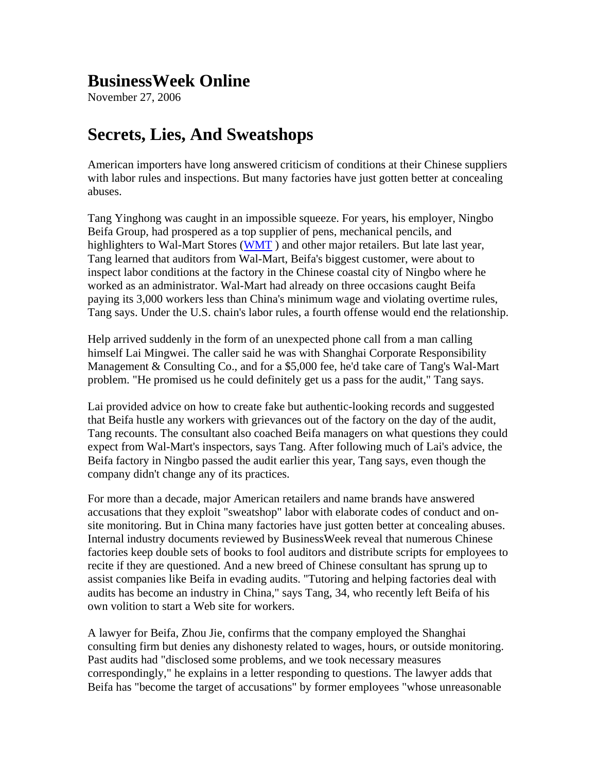## **BusinessWeek Online**

November 27, 2006

## **Secrets, Lies, And Sweatshops**

American importers have long answered criticism of conditions at their Chinese suppliers with labor rules and inspections. But many factories have just gotten better at concealing abuses.

Tang Yinghong was caught in an impossible squeeze. For years, his employer, Ningbo Beifa Group, had prospered as a top supplier of pens, mechanical pencils, and highlighters to Wal-Mart Stores (WMT) and other major retailers. But late last year, Tang learned that auditors from Wal-Mart, Beifa's biggest customer, were about to inspect labor conditions at the factory in the Chinese coastal city of Ningbo where he worked as an administrator. Wal-Mart had already on three occasions caught Beifa paying its 3,000 workers less than China's minimum wage and violating overtime rules, Tang says. Under the U.S. chain's labor rules, a fourth offense would end the relationship.

Help arrived suddenly in the form of an unexpected phone call from a man calling himself Lai Mingwei. The caller said he was with Shanghai Corporate Responsibility Management & Consulting Co., and for a \$5,000 fee, he'd take care of Tang's Wal-Mart problem. "He promised us he could definitely get us a pass for the audit," Tang says.

Lai provided advice on how to create fake but authentic-looking records and suggested that Beifa hustle any workers with grievances out of the factory on the day of the audit, Tang recounts. The consultant also coached Beifa managers on what questions they could expect from Wal-Mart's inspectors, says Tang. After following much of Lai's advice, the Beifa factory in Ningbo passed the audit earlier this year, Tang says, even though the company didn't change any of its practices.

For more than a decade, major American retailers and name brands have answered accusations that they exploit "sweatshop" labor with elaborate codes of conduct and onsite monitoring. But in China many factories have just gotten better at concealing abuses. Internal industry documents reviewed by BusinessWeek reveal that numerous Chinese factories keep double sets of books to fool auditors and distribute scripts for employees to recite if they are questioned. And a new breed of Chinese consultant has sprung up to assist companies like Beifa in evading audits. "Tutoring and helping factories deal with audits has become an industry in China," says Tang, 34, who recently left Beifa of his own volition to start a Web site for workers.

A lawyer for Beifa, Zhou Jie, confirms that the company employed the Shanghai consulting firm but denies any dishonesty related to wages, hours, or outside monitoring. Past audits had "disclosed some problems, and we took necessary measures correspondingly," he explains in a letter responding to questions. The lawyer adds that Beifa has "become the target of accusations" by former employees "whose unreasonable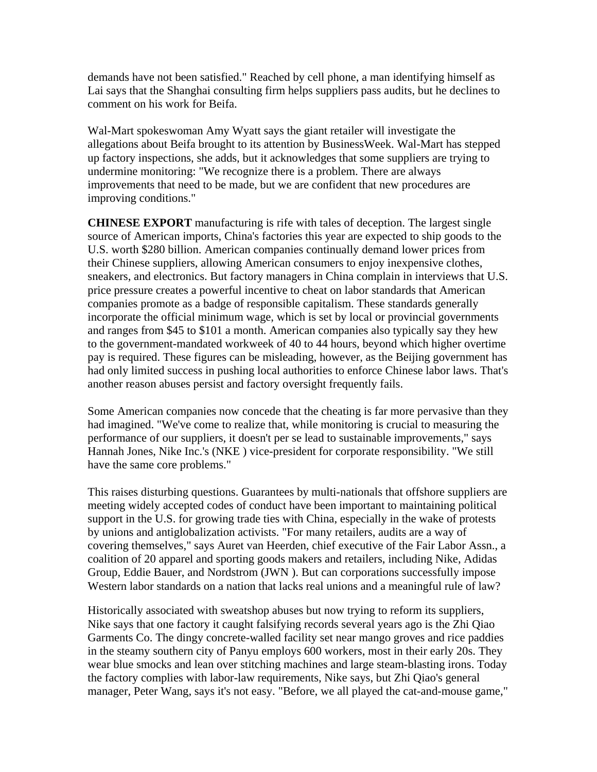demands have not been satisfied." Reached by cell phone, a man identifying himself as Lai says that the Shanghai consulting firm helps suppliers pass audits, but he declines to comment on his work for Beifa.

Wal-Mart spokeswoman Amy Wyatt says the giant retailer will investigate the allegations about Beifa brought to its attention by BusinessWeek. Wal-Mart has stepped up factory inspections, she adds, but it acknowledges that some suppliers are trying to undermine monitoring: "We recognize there is a problem. There are always improvements that need to be made, but we are confident that new procedures are improving conditions."

**CHINESE EXPORT** manufacturing is rife with tales of deception. The largest single source of American imports, China's factories this year are expected to ship goods to the U.S. worth \$280 billion. American companies continually demand lower prices from their Chinese suppliers, allowing American consumers to enjoy inexpensive clothes, sneakers, and electronics. But factory managers in China complain in interviews that U.S. price pressure creates a powerful incentive to cheat on labor standards that American companies promote as a badge of responsible capitalism. These standards generally incorporate the official minimum wage, which is set by local or provincial governments and ranges from \$45 to \$101 a month. American companies also typically say they hew to the government-mandated workweek of 40 to 44 hours, beyond which higher overtime pay is required. These figures can be misleading, however, as the Beijing government has had only limited success in pushing local authorities to enforce Chinese labor laws. That's another reason abuses persist and factory oversight frequently fails.

Some American companies now concede that the cheating is far more pervasive than they had imagined. "We've come to realize that, while monitoring is crucial to measuring the performance of our suppliers, it doesn't per se lead to sustainable improvements," says Hannah Jones, Nike Inc.'s (NKE ) vice-president for corporate responsibility. "We still have the same core problems."

This raises disturbing questions. Guarantees by multi-nationals that offshore suppliers are meeting widely accepted codes of conduct have been important to maintaining political support in the U.S. for growing trade ties with China, especially in the wake of protests by unions and antiglobalization activists. "For many retailers, audits are a way of covering themselves," says Auret van Heerden, chief executive of the Fair Labor Assn., a coalition of 20 apparel and sporting goods makers and retailers, including Nike, Adidas Group, Eddie Bauer, and Nordstrom (JWN ). But can corporations successfully impose Western labor standards on a nation that lacks real unions and a meaningful rule of law?

Historically associated with sweatshop abuses but now trying to reform its suppliers, Nike says that one factory it caught falsifying records several years ago is the Zhi Qiao Garments Co. The dingy concrete-walled facility set near mango groves and rice paddies in the steamy southern city of Panyu employs 600 workers, most in their early 20s. They wear blue smocks and lean over stitching machines and large steam-blasting irons. Today the factory complies with labor-law requirements, Nike says, but Zhi Qiao's general manager, Peter Wang, says it's not easy. "Before, we all played the cat-and-mouse game,"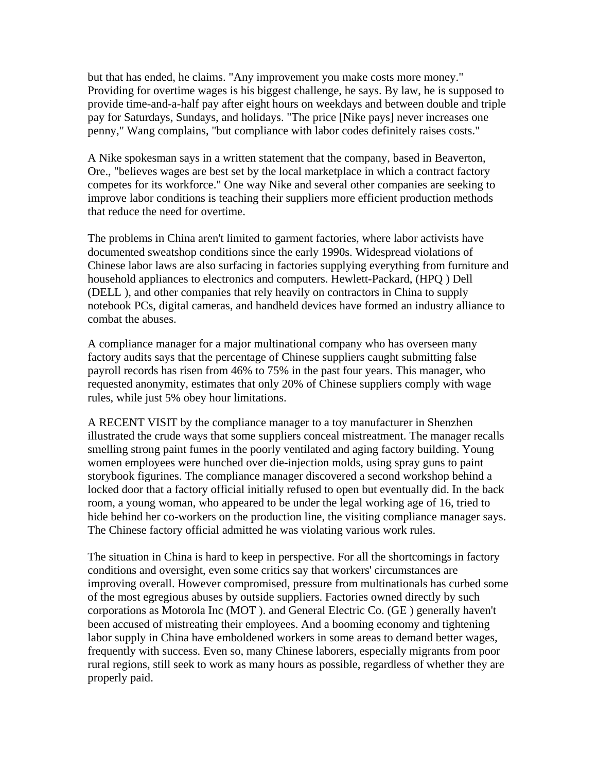but that has ended, he claims. "Any improvement you make costs more money." Providing for overtime wages is his biggest challenge, he says. By law, he is supposed to provide time-and-a-half pay after eight hours on weekdays and between double and triple pay for Saturdays, Sundays, and holidays. "The price [Nike pays] never increases one penny," Wang complains, "but compliance with labor codes definitely raises costs."

A Nike spokesman says in a written statement that the company, based in Beaverton, Ore., "believes wages are best set by the local marketplace in which a contract factory competes for its workforce." One way Nike and several other companies are seeking to improve labor conditions is teaching their suppliers more efficient production methods that reduce the need for overtime.

The problems in China aren't limited to garment factories, where labor activists have documented sweatshop conditions since the early 1990s. Widespread violations of Chinese labor laws are also surfacing in factories supplying everything from furniture and household appliances to electronics and computers. Hewlett-Packard, (HPQ ) Dell (DELL ), and other companies that rely heavily on contractors in China to supply notebook PCs, digital cameras, and handheld devices have formed an industry alliance to combat the abuses.

A compliance manager for a major multinational company who has overseen many factory audits says that the percentage of Chinese suppliers caught submitting false payroll records has risen from 46% to 75% in the past four years. This manager, who requested anonymity, estimates that only 20% of Chinese suppliers comply with wage rules, while just 5% obey hour limitations.

A RECENT VISIT by the compliance manager to a toy manufacturer in Shenzhen illustrated the crude ways that some suppliers conceal mistreatment. The manager recalls smelling strong paint fumes in the poorly ventilated and aging factory building. Young women employees were hunched over die-injection molds, using spray guns to paint storybook figurines. The compliance manager discovered a second workshop behind a locked door that a factory official initially refused to open but eventually did. In the back room, a young woman, who appeared to be under the legal working age of 16, tried to hide behind her co-workers on the production line, the visiting compliance manager says. The Chinese factory official admitted he was violating various work rules.

The situation in China is hard to keep in perspective. For all the shortcomings in factory conditions and oversight, even some critics say that workers' circumstances are improving overall. However compromised, pressure from multinationals has curbed some of the most egregious abuses by outside suppliers. Factories owned directly by such corporations as Motorola Inc (MOT ). and General Electric Co. (GE ) generally haven't been accused of mistreating their employees. And a booming economy and tightening labor supply in China have emboldened workers in some areas to demand better wages, frequently with success. Even so, many Chinese laborers, especially migrants from poor rural regions, still seek to work as many hours as possible, regardless of whether they are properly paid.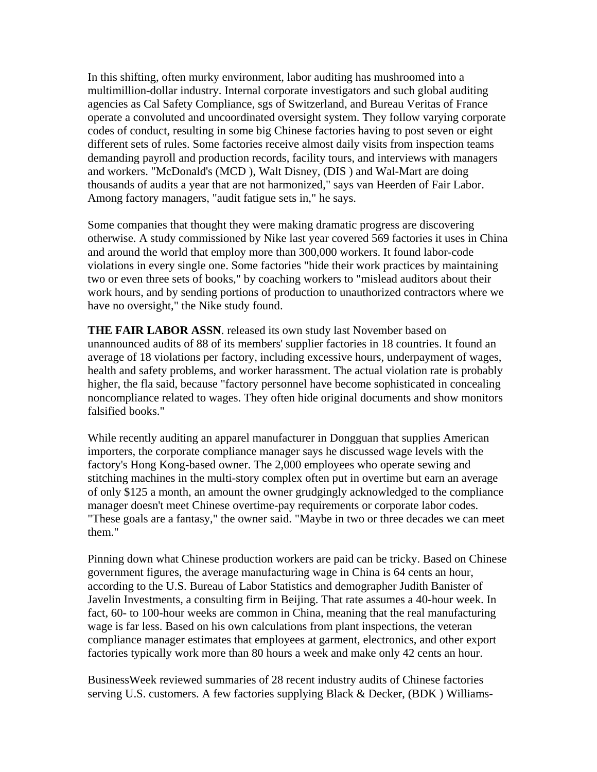In this shifting, often murky environment, labor auditing has mushroomed into a multimillion-dollar industry. Internal corporate investigators and such global auditing agencies as Cal Safety Compliance, sgs of Switzerland, and Bureau Veritas of France operate a convoluted and uncoordinated oversight system. They follow varying corporate codes of conduct, resulting in some big Chinese factories having to post seven or eight different sets of rules. Some factories receive almost daily visits from inspection teams demanding payroll and production records, facility tours, and interviews with managers and workers. "McDonald's (MCD ), Walt Disney, (DIS ) and Wal-Mart are doing thousands of audits a year that are not harmonized," says van Heerden of Fair Labor. Among factory managers, "audit fatigue sets in," he says.

Some companies that thought they were making dramatic progress are discovering otherwise. A study commissioned by Nike last year covered 569 factories it uses in China and around the world that employ more than 300,000 workers. It found labor-code violations in every single one. Some factories "hide their work practices by maintaining two or even three sets of books," by coaching workers to "mislead auditors about their work hours, and by sending portions of production to unauthorized contractors where we have no oversight," the Nike study found.

**THE FAIR LABOR ASSN**. released its own study last November based on unannounced audits of 88 of its members' supplier factories in 18 countries. It found an average of 18 violations per factory, including excessive hours, underpayment of wages, health and safety problems, and worker harassment. The actual violation rate is probably higher, the fla said, because "factory personnel have become sophisticated in concealing noncompliance related to wages. They often hide original documents and show monitors falsified books."

While recently auditing an apparel manufacturer in Dongguan that supplies American importers, the corporate compliance manager says he discussed wage levels with the factory's Hong Kong-based owner. The 2,000 employees who operate sewing and stitching machines in the multi-story complex often put in overtime but earn an average of only \$125 a month, an amount the owner grudgingly acknowledged to the compliance manager doesn't meet Chinese overtime-pay requirements or corporate labor codes. "These goals are a fantasy," the owner said. "Maybe in two or three decades we can meet them."

Pinning down what Chinese production workers are paid can be tricky. Based on Chinese government figures, the average manufacturing wage in China is 64 cents an hour, according to the U.S. Bureau of Labor Statistics and demographer Judith Banister of Javelin Investments, a consulting firm in Beijing. That rate assumes a 40-hour week. In fact, 60- to 100-hour weeks are common in China, meaning that the real manufacturing wage is far less. Based on his own calculations from plant inspections, the veteran compliance manager estimates that employees at garment, electronics, and other export factories typically work more than 80 hours a week and make only 42 cents an hour.

BusinessWeek reviewed summaries of 28 recent industry audits of Chinese factories serving U.S. customers. A few factories supplying Black & Decker, (BDK ) Williams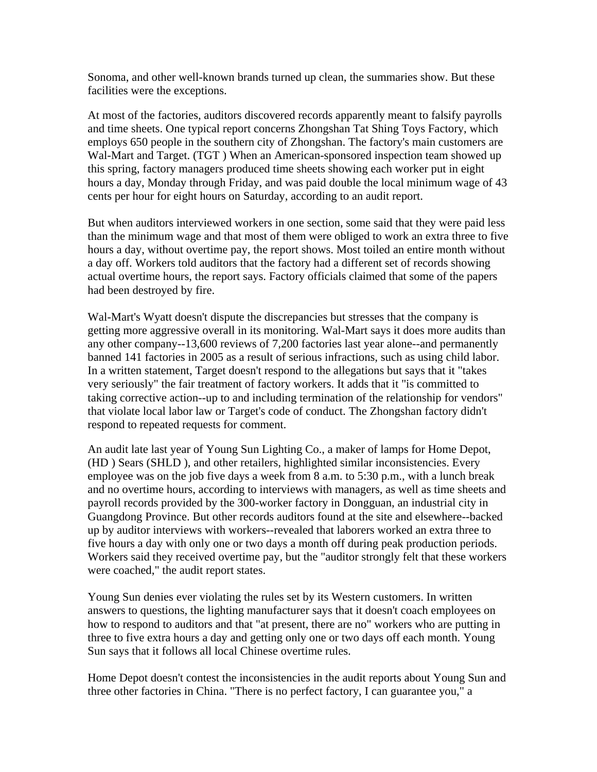Sonoma, and other well-known brands turned up clean, the summaries show. But these facilities were the exceptions.

At most of the factories, auditors discovered records apparently meant to falsify payrolls and time sheets. One typical report concerns Zhongshan Tat Shing Toys Factory, which employs 650 people in the southern city of Zhongshan. The factory's main customers are Wal-Mart and Target. (TGT ) When an American-sponsored inspection team showed up this spring, factory managers produced time sheets showing each worker put in eight hours a day, Monday through Friday, and was paid double the local minimum wage of 43 cents per hour for eight hours on Saturday, according to an audit report.

But when auditors interviewed workers in one section, some said that they were paid less than the minimum wage and that most of them were obliged to work an extra three to five hours a day, without overtime pay, the report shows. Most toiled an entire month without a day off. Workers told auditors that the factory had a different set of records showing actual overtime hours, the report says. Factory officials claimed that some of the papers had been destroyed by fire.

Wal-Mart's Wyatt doesn't dispute the discrepancies but stresses that the company is getting more aggressive overall in its monitoring. Wal-Mart says it does more audits than any other company--13,600 reviews of 7,200 factories last year alone--and permanently banned 141 factories in 2005 as a result of serious infractions, such as using child labor. In a written statement, Target doesn't respond to the allegations but says that it "takes very seriously" the fair treatment of factory workers. It adds that it "is committed to taking corrective action--up to and including termination of the relationship for vendors" that violate local labor law or Target's code of conduct. The Zhongshan factory didn't respond to repeated requests for comment.

An audit late last year of Young Sun Lighting Co., a maker of lamps for Home Depot, (HD ) Sears (SHLD ), and other retailers, highlighted similar inconsistencies. Every employee was on the job five days a week from 8 a.m. to 5:30 p.m., with a lunch break and no overtime hours, according to interviews with managers, as well as time sheets and payroll records provided by the 300-worker factory in Dongguan, an industrial city in Guangdong Province. But other records auditors found at the site and elsewhere--backed up by auditor interviews with workers--revealed that laborers worked an extra three to five hours a day with only one or two days a month off during peak production periods. Workers said they received overtime pay, but the "auditor strongly felt that these workers were coached," the audit report states.

Young Sun denies ever violating the rules set by its Western customers. In written answers to questions, the lighting manufacturer says that it doesn't coach employees on how to respond to auditors and that "at present, there are no" workers who are putting in three to five extra hours a day and getting only one or two days off each month. Young Sun says that it follows all local Chinese overtime rules.

Home Depot doesn't contest the inconsistencies in the audit reports about Young Sun and three other factories in China. "There is no perfect factory, I can guarantee you," a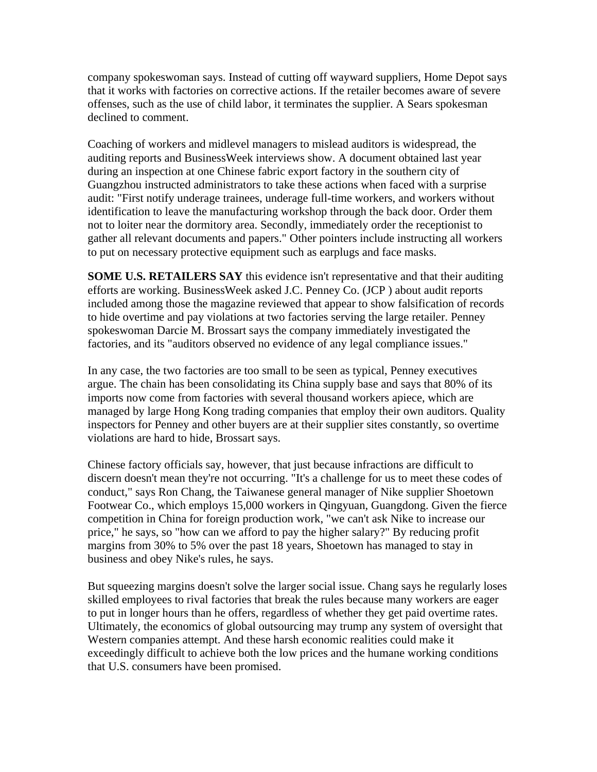company spokeswoman says. Instead of cutting off wayward suppliers, Home Depot says that it works with factories on corrective actions. If the retailer becomes aware of severe offenses, such as the use of child labor, it terminates the supplier. A Sears spokesman declined to comment.

Coaching of workers and midlevel managers to mislead auditors is widespread, the auditing reports and BusinessWeek interviews show. A document obtained last year during an inspection at one Chinese fabric export factory in the southern city of Guangzhou instructed administrators to take these actions when faced with a surprise audit: "First notify underage trainees, underage full-time workers, and workers without identification to leave the manufacturing workshop through the back door. Order them not to loiter near the dormitory area. Secondly, immediately order the receptionist to gather all relevant documents and papers." Other pointers include instructing all workers to put on necessary protective equipment such as earplugs and face masks.

**SOME U.S. RETAILERS SAY** this evidence isn't representative and that their auditing efforts are working. BusinessWeek asked J.C. Penney Co. (JCP ) about audit reports included among those the magazine reviewed that appear to show falsification of records to hide overtime and pay violations at two factories serving the large retailer. Penney spokeswoman Darcie M. Brossart says the company immediately investigated the factories, and its "auditors observed no evidence of any legal compliance issues."

In any case, the two factories are too small to be seen as typical, Penney executives argue. The chain has been consolidating its China supply base and says that 80% of its imports now come from factories with several thousand workers apiece, which are managed by large Hong Kong trading companies that employ their own auditors. Quality inspectors for Penney and other buyers are at their supplier sites constantly, so overtime violations are hard to hide, Brossart says.

Chinese factory officials say, however, that just because infractions are difficult to discern doesn't mean they're not occurring. "It's a challenge for us to meet these codes of conduct," says Ron Chang, the Taiwanese general manager of Nike supplier Shoetown Footwear Co., which employs 15,000 workers in Qingyuan, Guangdong. Given the fierce competition in China for foreign production work, "we can't ask Nike to increase our price," he says, so "how can we afford to pay the higher salary?" By reducing profit margins from 30% to 5% over the past 18 years, Shoetown has managed to stay in business and obey Nike's rules, he says.

But squeezing margins doesn't solve the larger social issue. Chang says he regularly loses skilled employees to rival factories that break the rules because many workers are eager to put in longer hours than he offers, regardless of whether they get paid overtime rates. Ultimately, the economics of global outsourcing may trump any system of oversight that Western companies attempt. And these harsh economic realities could make it exceedingly difficult to achieve both the low prices and the humane working conditions that U.S. consumers have been promised.